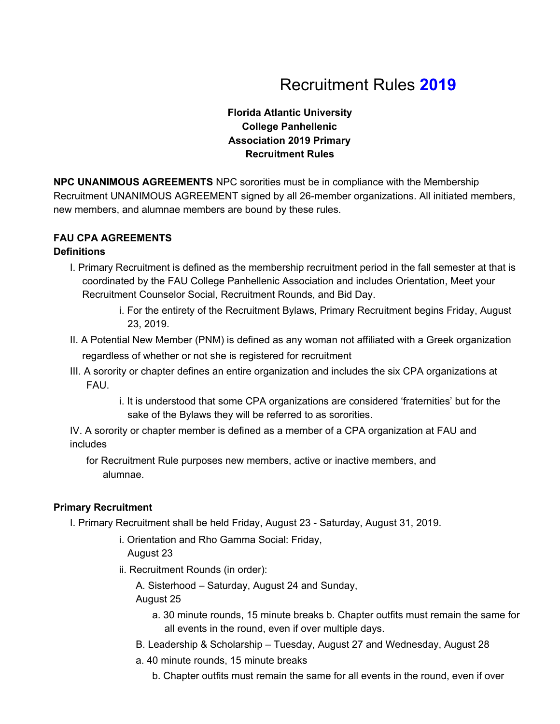# Recruitment Rules **2019**

# **Florida Atlantic University College Panhellenic Association 2019 Primary Recruitment Rules**

**NPC UNANIMOUS AGREEMENTS** NPC sororities must be in compliance with the Membership Recruitment UNANIMOUS AGREEMENT signed by all 26-member organizations. All initiated members, new members, and alumnae members are bound by these rules.

# **FAU CPA AGREEMENTS**

# **Definitions**

- I. Primary Recruitment is defined as the membership recruitment period in the fall semester at that is coordinated by the FAU College Panhellenic Association and includes Orientation, Meet your Recruitment Counselor Social, Recruitment Rounds, and Bid Day.
	- i. For the entirety of the Recruitment Bylaws, Primary Recruitment begins Friday, August 23, 2019.
- II. A Potential New Member (PNM) is defined as any woman not affiliated with a Greek organization regardless of whether or not she is registered for recruitment
- III. A sorority or chapter defines an entire organization and includes the six CPA organizations at FAU.
	- i. It is understood that some CPA organizations are considered 'fraternities' but for the sake of the Bylaws they will be referred to as sororities.

IV. A sorority or chapter member is defined as a member of a CPA organization at FAU and includes

for Recruitment Rule purposes new members, active or inactive members, and alumnae.

## **Primary Recruitment**

- I. Primary Recruitment shall be held Friday, August 23 Saturday, August 31, 2019.
	- i. Orientation and Rho Gamma Social: Friday, August 23
	- ii. Recruitment Rounds (in order):

A. Sisterhood – Saturday, August 24 and Sunday, August 25

- a. 30 minute rounds, 15 minute breaks b. Chapter outfits must remain the same for all events in the round, even if over multiple days.
- B. Leadership & Scholarship Tuesday, August 27 and Wednesday, August 28
- a. 40 minute rounds, 15 minute breaks
	- b. Chapter outfits must remain the same for all events in the round, even if over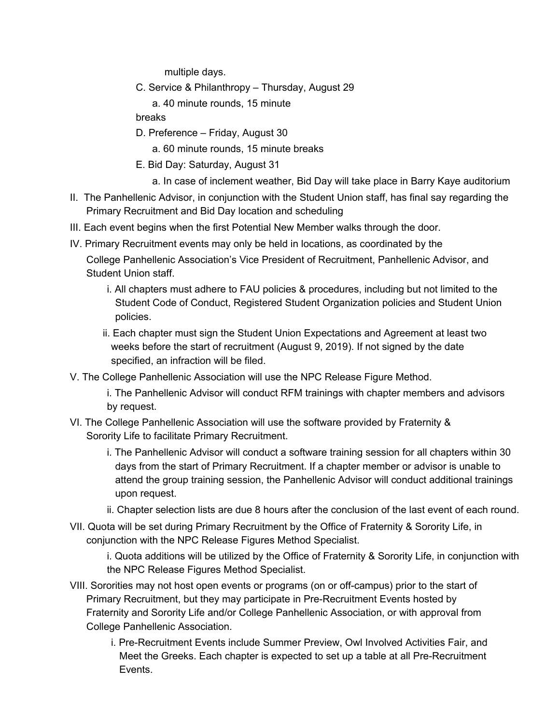multiple days.

- C. Service & Philanthropy Thursday, August 29
	- a. 40 minute rounds, 15 minute

breaks

D. Preference – Friday, August 30

a. 60 minute rounds, 15 minute breaks

- E. Bid Day: Saturday, August 31
	- a. In case of inclement weather, Bid Day will take place in Barry Kaye auditorium
- II. The Panhellenic Advisor, in conjunction with the Student Union staff, has final say regarding the Primary Recruitment and Bid Day location and scheduling
- III. Each event begins when the first Potential New Member walks through the door.
- IV. Primary Recruitment events may only be held in locations, as coordinated by the College Panhellenic Association's Vice President of Recruitment, Panhellenic Advisor, and Student Union staff.
	- i. All chapters must adhere to FAU policies & procedures, including but not limited to the Student Code of Conduct, Registered Student Organization policies and Student Union policies.
	- ii. Each chapter must sign the Student Union Expectations and Agreement at least two weeks before the start of recruitment (August 9, 2019). If not signed by the date specified, an infraction will be filed.
- V. The College Panhellenic Association will use the NPC Release Figure Method.
	- i. The Panhellenic Advisor will conduct RFM trainings with chapter members and advisors by request.
- VI. The College Panhellenic Association will use the software provided by Fraternity & Sorority Life to facilitate Primary Recruitment.
	- i. The Panhellenic Advisor will conduct a software training session for all chapters within 30 days from the start of Primary Recruitment. If a chapter member or advisor is unable to attend the group training session, the Panhellenic Advisor will conduct additional trainings upon request.
	- ii. Chapter selection lists are due 8 hours after the conclusion of the last event of each round.
- VII. Quota will be set during Primary Recruitment by the Office of Fraternity & Sorority Life, in conjunction with the NPC Release Figures Method Specialist.

i. Quota additions will be utilized by the Office of Fraternity & Sorority Life, in conjunction with the NPC Release Figures Method Specialist.

- VIII. Sororities may not host open events or programs (on or off-campus) prior to the start of Primary Recruitment, but they may participate in Pre-Recruitment Events hosted by Fraternity and Sorority Life and/or College Panhellenic Association, or with approval from College Panhellenic Association.
	- i. Pre-Recruitment Events include Summer Preview, Owl Involved Activities Fair, and Meet the Greeks. Each chapter is expected to set up a table at all Pre-Recruitment Events.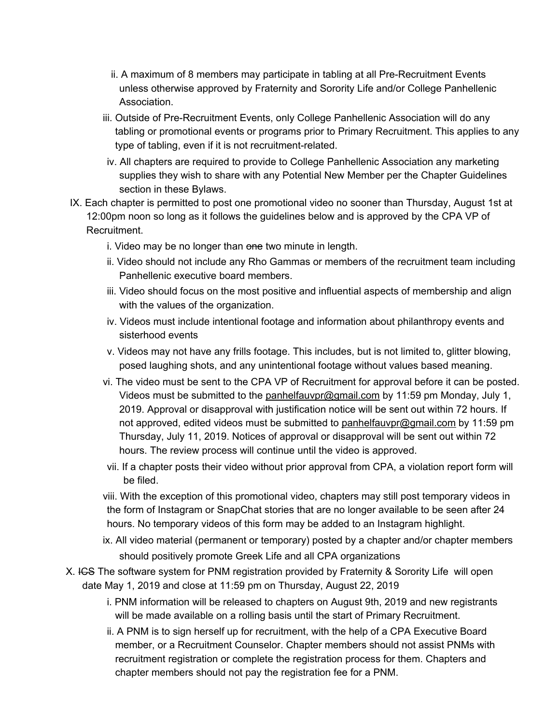- ii. A maximum of 8 members may participate in tabling at all Pre-Recruitment Events unless otherwise approved by Fraternity and Sorority Life and/or College Panhellenic Association.
- iii. Outside of Pre-Recruitment Events, only College Panhellenic Association will do any tabling or promotional events or programs prior to Primary Recruitment. This applies to any type of tabling, even if it is not recruitment-related.
- iv. All chapters are required to provide to College Panhellenic Association any marketing supplies they wish to share with any Potential New Member per the Chapter Guidelines section in these Bylaws.
- IX. Each chapter is permitted to post one promotional video no sooner than Thursday, August 1st at 12:00pm noon so long as it follows the guidelines below and is approved by the CPA VP of Recruitment.
	- i. Video may be no longer than one two minute in length.
	- ii. Video should not include any Rho Gammas or members of the recruitment team including Panhellenic executive board members.
	- iii. Video should focus on the most positive and influential aspects of membership and align with the values of the organization.
	- iv. Videos must include intentional footage and information about philanthropy events and sisterhood events
	- v. Videos may not have any frills footage. This includes, but is not limited to, glitter blowing, posed laughing shots, and any unintentional footage without values based meaning.
	- vi. The video must be sent to the CPA VP of Recruitment for approval before it can be posted. Videos must be submitted to the [panhelfauvpr@gmail.com](mailto:panhelfauvpr@gmail.com) by 11:59 pm Monday, July 1, 2019. Approval or disapproval with justification notice will be sent out within 72 hours. If not approved, edited videos must be submitted to [panhelfauvpr@gmail.com](mailto:panhelfauvpr@gmail.com) by 11:59 pm Thursday, July 11, 2019. Notices of approval or disapproval will be sent out within 72 hours. The review process will continue until the video is approved.
	- vii. If a chapter posts their video without prior approval from CPA, a violation report form will be filed.

viii. With the exception of this promotional video, chapters may still post temporary videos in the form of Instagram or SnapChat stories that are no longer available to be seen after 24 hours. No temporary videos of this form may be added to an Instagram highlight.

- ix. All video material (permanent or temporary) posted by a chapter and/or chapter members should positively promote Greek Life and all CPA organizations
- X. IGS The software system for PNM registration provided by Fraternity & Sorority Life will open date May 1, 2019 and close at 11:59 pm on Thursday, August 22, 2019
	- i. PNM information will be released to chapters on August 9th, 2019 and new registrants will be made available on a rolling basis until the start of Primary Recruitment.
	- ii. A PNM is to sign herself up for recruitment, with the help of a CPA Executive Board member, or a Recruitment Counselor. Chapter members should not assist PNMs with recruitment registration or complete the registration process for them. Chapters and chapter members should not pay the registration fee for a PNM.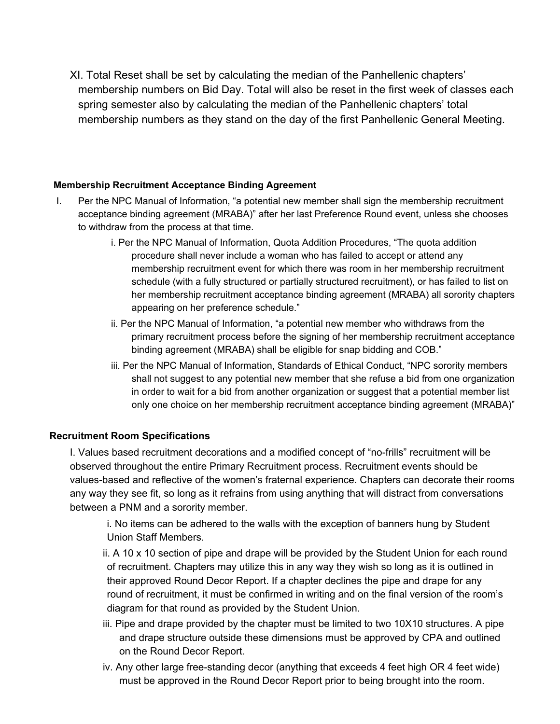XI. Total Reset shall be set by calculating the median of the Panhellenic chapters' membership numbers on Bid Day. Total will also be reset in the first week of classes each spring semester also by calculating the median of the Panhellenic chapters' total membership numbers as they stand on the day of the first Panhellenic General Meeting.

#### **Membership Recruitment Acceptance Binding Agreement**

- I. Per the NPC Manual of Information, "a potential new member shall sign the membership recruitment acceptance binding agreement (MRABA)" after her last Preference Round event, unless she chooses to withdraw from the process at that time.
	- i. Per the NPC Manual of Information, Quota Addition Procedures, "The quota addition procedure shall never include a woman who has failed to accept or attend any membership recruitment event for which there was room in her membership recruitment schedule (with a fully structured or partially structured recruitment), or has failed to list on her membership recruitment acceptance binding agreement (MRABA) all sorority chapters appearing on her preference schedule."
	- ii. Per the NPC Manual of Information, "a potential new member who withdraws from the primary recruitment process before the signing of her membership recruitment acceptance binding agreement (MRABA) shall be eligible for snap bidding and COB."
	- iii. Per the NPC Manual of Information, Standards of Ethical Conduct, "NPC sorority members shall not suggest to any potential new member that she refuse a bid from one organization in order to wait for a bid from another organization or suggest that a potential member list only one choice on her membership recruitment acceptance binding agreement (MRABA)"

#### **Recruitment Room Specifications**

I. Values based recruitment decorations and a modified concept of "no-frills" recruitment will be observed throughout the entire Primary Recruitment process. Recruitment events should be values-based and reflective of the women's fraternal experience. Chapters can decorate their rooms any way they see fit, so long as it refrains from using anything that will distract from conversations between a PNM and a sorority member.

i. No items can be adhered to the walls with the exception of banners hung by Student Union Staff Members.

- ii. A 10 x 10 section of pipe and drape will be provided by the Student Union for each round of recruitment. Chapters may utilize this in any way they wish so long as it is outlined in their approved Round Decor Report. If a chapter declines the pipe and drape for any round of recruitment, it must be confirmed in writing and on the final version of the room's diagram for that round as provided by the Student Union.
- iii. Pipe and drape provided by the chapter must be limited to two 10X10 structures. A pipe and drape structure outside these dimensions must be approved by CPA and outlined on the Round Decor Report.
- iv. Any other large free-standing decor (anything that exceeds 4 feet high OR 4 feet wide) must be approved in the Round Decor Report prior to being brought into the room.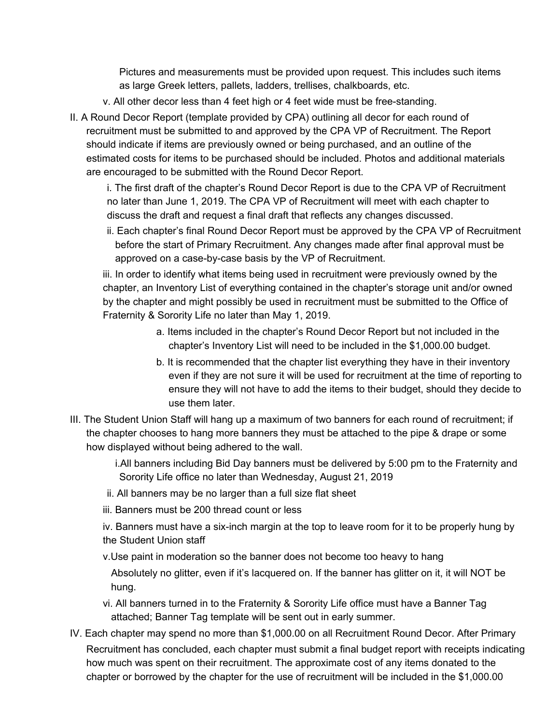Pictures and measurements must be provided upon request. This includes such items as large Greek letters, pallets, ladders, trellises, chalkboards, etc.

- v. All other decor less than 4 feet high or 4 feet wide must be free-standing.
- II. A Round Decor Report (template provided by CPA) outlining all decor for each round of recruitment must be submitted to and approved by the CPA VP of Recruitment. The Report should indicate if items are previously owned or being purchased, and an outline of the estimated costs for items to be purchased should be included. Photos and additional materials are encouraged to be submitted with the Round Decor Report.

i. The first draft of the chapter's Round Decor Report is due to the CPA VP of Recruitment no later than June 1, 2019. The CPA VP of Recruitment will meet with each chapter to discuss the draft and request a final draft that reflects any changes discussed.

ii. Each chapter's final Round Decor Report must be approved by the CPA VP of Recruitment before the start of Primary Recruitment. Any changes made after final approval must be approved on a case-by-case basis by the VP of Recruitment.

iii. In order to identify what items being used in recruitment were previously owned by the chapter, an Inventory List of everything contained in the chapter's storage unit and/or owned by the chapter and might possibly be used in recruitment must be submitted to the Office of Fraternity & Sorority Life no later than May 1, 2019.

- a. Items included in the chapter's Round Decor Report but not included in the chapter's Inventory List will need to be included in the \$1,000.00 budget.
- b. It is recommended that the chapter list everything they have in their inventory even if they are not sure it will be used for recruitment at the time of reporting to ensure they will not have to add the items to their budget, should they decide to use them later.
- III. The Student Union Staff will hang up a maximum of two banners for each round of recruitment; if the chapter chooses to hang more banners they must be attached to the pipe & drape or some how displayed without being adhered to the wall.

i.All banners including Bid Day banners must be delivered by 5:00 pm to the Fraternity and Sorority Life office no later than Wednesday, August 21, 2019

- ii. All banners may be no larger than a full size flat sheet
- iii. Banners must be 200 thread count or less

iv. Banners must have a six-inch margin at the top to leave room for it to be properly hung by the Student Union staff

v.Use paint in moderation so the banner does not become too heavy to hang

Absolutely no glitter, even if it's lacquered on. If the banner has glitter on it, it will NOT be hung.

- vi. All banners turned in to the Fraternity & Sorority Life office must have a Banner Tag attached; Banner Tag template will be sent out in early summer.
- IV. Each chapter may spend no more than \$1,000.00 on all Recruitment Round Decor. After Primary Recruitment has concluded, each chapter must submit a final budget report with receipts indicating how much was spent on their recruitment. The approximate cost of any items donated to the chapter or borrowed by the chapter for the use of recruitment will be included in the \$1,000.00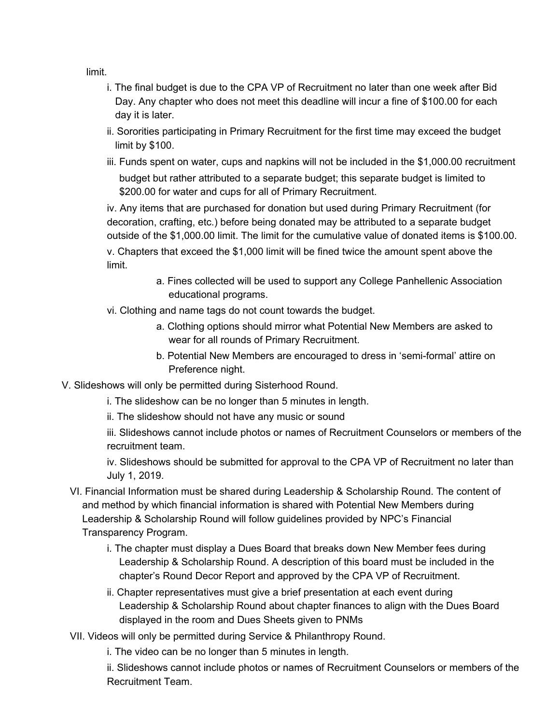limit.

- i. The final budget is due to the CPA VP of Recruitment no later than one week after Bid Day. Any chapter who does not meet this deadline will incur a fine of \$100.00 for each day it is later.
- ii. Sororities participating in Primary Recruitment for the first time may exceed the budget limit by \$100.
- iii. Funds spent on water, cups and napkins will not be included in the \$1,000.00 recruitment budget but rather attributed to a separate budget; this separate budget is limited to \$200.00 for water and cups for all of Primary Recruitment.

iv. Any items that are purchased for donation but used during Primary Recruitment (for decoration, crafting, etc.) before being donated may be attributed to a separate budget outside of the \$1,000.00 limit. The limit for the cumulative value of donated items is \$100.00. v. Chapters that exceed the \$1,000 limit will be fined twice the amount spent above the limit.

- a. Fines collected will be used to support any College Panhellenic Association educational programs.
- vi. Clothing and name tags do not count towards the budget.
	- a. Clothing options should mirror what Potential New Members are asked to wear for all rounds of Primary Recruitment.
	- b. Potential New Members are encouraged to dress in 'semi-formal' attire on Preference night.
- V. Slideshows will only be permitted during Sisterhood Round.
	- i. The slideshow can be no longer than 5 minutes in length.
	- ii. The slideshow should not have any music or sound

iii. Slideshows cannot include photos or names of Recruitment Counselors or members of the recruitment team.

iv. Slideshows should be submitted for approval to the CPA VP of Recruitment no later than July 1, 2019.

- VI. Financial Information must be shared during Leadership & Scholarship Round. The content of and method by which financial information is shared with Potential New Members during Leadership & Scholarship Round will follow guidelines provided by NPC's Financial Transparency Program.
	- i. The chapter must display a Dues Board that breaks down New Member fees during Leadership & Scholarship Round. A description of this board must be included in the chapter's Round Decor Report and approved by the CPA VP of Recruitment.
	- ii. Chapter representatives must give a brief presentation at each event during Leadership & Scholarship Round about chapter finances to align with the Dues Board displayed in the room and Dues Sheets given to PNMs
- VII. Videos will only be permitted during Service & Philanthropy Round.
	- i. The video can be no longer than 5 minutes in length.

ii. Slideshows cannot include photos or names of Recruitment Counselors or members of the Recruitment Team.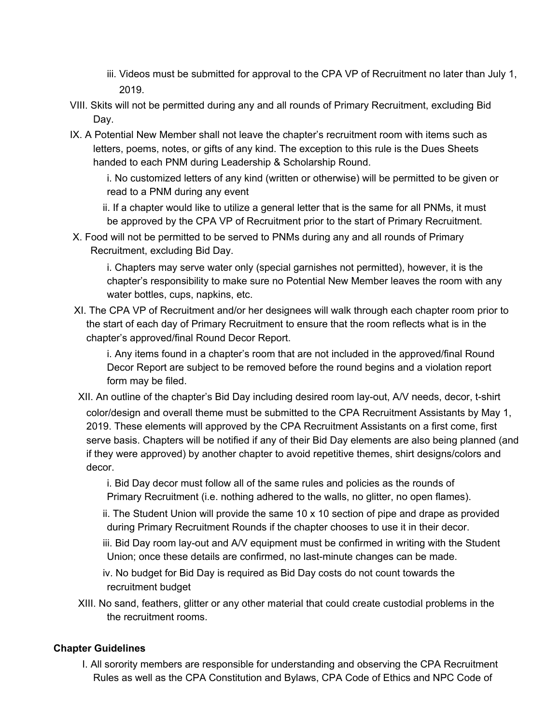- iii. Videos must be submitted for approval to the CPA VP of Recruitment no later than July 1, 2019.
- VIII. Skits will not be permitted during any and all rounds of Primary Recruitment, excluding Bid Day.
- IX. A Potential New Member shall not leave the chapter's recruitment room with items such as letters, poems, notes, or gifts of any kind. The exception to this rule is the Dues Sheets handed to each PNM during Leadership & Scholarship Round.

i. No customized letters of any kind (written or otherwise) will be permitted to be given or read to a PNM during any event

ii. If a chapter would like to utilize a general letter that is the same for all PNMs, it must be approved by the CPA VP of Recruitment prior to the start of Primary Recruitment.

X. Food will not be permitted to be served to PNMs during any and all rounds of Primary Recruitment, excluding Bid Day.

i. Chapters may serve water only (special garnishes not permitted), however, it is the chapter's responsibility to make sure no Potential New Member leaves the room with any water bottles, cups, napkins, etc.

XI. The CPA VP of Recruitment and/or her designees will walk through each chapter room prior to the start of each day of Primary Recruitment to ensure that the room reflects what is in the chapter's approved/final Round Decor Report.

i. Any items found in a chapter's room that are not included in the approved/final Round Decor Report are subject to be removed before the round begins and a violation report form may be filed.

XII. An outline of the chapter's Bid Day including desired room lay-out, A/V needs, decor, t-shirt color/design and overall theme must be submitted to the CPA Recruitment Assistants by May 1, 2019. These elements will approved by the CPA Recruitment Assistants on a first come, first serve basis. Chapters will be notified if any of their Bid Day elements are also being planned (and if they were approved) by another chapter to avoid repetitive themes, shirt designs/colors and decor.

i. Bid Day decor must follow all of the same rules and policies as the rounds of Primary Recruitment (i.e. nothing adhered to the walls, no glitter, no open flames).

ii. The Student Union will provide the same 10 x 10 section of pipe and drape as provided during Primary Recruitment Rounds if the chapter chooses to use it in their decor.

iii. Bid Day room lay-out and A/V equipment must be confirmed in writing with the Student Union; once these details are confirmed, no last-minute changes can be made.

iv. No budget for Bid Day is required as Bid Day costs do not count towards the recruitment budget

XIII. No sand, feathers, glitter or any other material that could create custodial problems in the the recruitment rooms.

#### **Chapter Guidelines**

I. All sorority members are responsible for understanding and observing the CPA Recruitment Rules as well as the CPA Constitution and Bylaws, CPA Code of Ethics and NPC Code of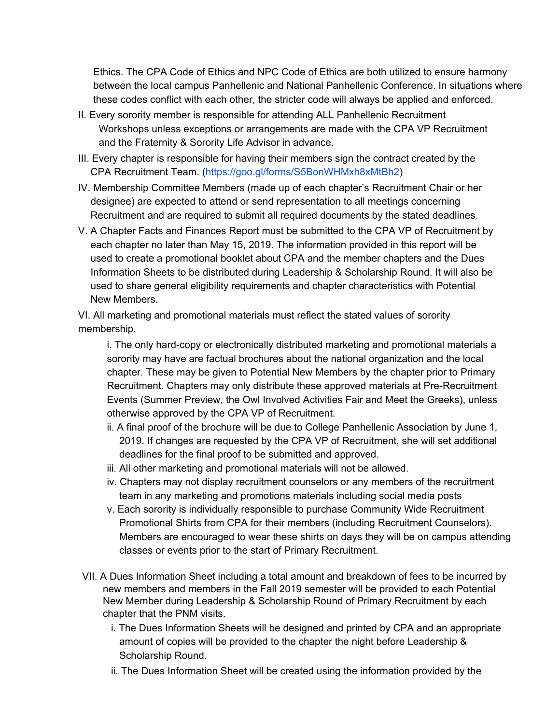Ethics. The CPA Code of Ethics and NPC Code of Ethics are both utilized to ensure harmony between the local campus Panhellenic and National Panhellenic Conference. In situations where these codes conflict with each other, the stricter code will always be applied and enforced.

- II. Every sorority member is responsible for attending ALL Panhellenic Recruitment Workshops unless exceptions or arrangements are made with the CPA VP Recruitment and the Fraternity & Sorority Life Advisor in advance.
- III. Every chapter is responsible for having their members sign the contract created by the CPA Recruitment Team. (https://goo.gl/forms/S5BonWHMxh8xMtBh2)
- IV. Membership Committee Members (made up of each chapter's Recruitment Chair or her designee) are expected to attend or send representation to all meetings concerning Recruitment and are required to submit all required documents by the stated deadlines.
- V. A Chapter Facts and Finances Report must be submitted to the CPA VP of Recruitment by each chapter no later than May 15, 2019. The information provided in this report will be used to create a promotional booklet about CPA and the member chapters and the Dues Information Sheets to be distributed during Leadership & Scholarship Round. It will also be used to share general eligibility requirements and chapter characteristics with Potential New Members.

VI. All marketing and promotional materials must reflect the stated values of sorority membership.

i. The only hard-copy or electronically distributed marketing and promotional materials a sorority may have are factual brochures about the national organization and the local chapter. These may be given to Potential New Members by the chapter prior to Primary Recruitment. Chapters may only distribute these approved materials at Pre-Recruitment Events (Summer Preview, the Owl Involved Activities Fair and Meet the Greeks), unless otherwise approved by the CPA VP of Recruitment.

- ii. A final proof of the brochure will be due to College Panhellenic Association by June 1, 2019. If changes are requested by the CPA VP of Recruitment, she will set additional deadlines for the final proof to be submitted and approved.
- iii. All other marketing and promotional materials will not be allowed.
- iv. Chapters may not display recruitment counselors or any members of the recruitment team in any marketing and promotions materials including social media posts
- v. Each sorority is individually responsible to purchase Community Wide Recruitment Promotional Shirts from CPA for their members (including Recruitment Counselors). Members are encouraged to wear these shirts on days they will be on campus attending classes or events prior to the start of Primary Recruitment.
- VII. A Dues Information Sheet including a total amount and breakdown of fees to be incurred by new members and members in the Fall 2019 semester will be provided to each Potential New Member during Leadership & Scholarship Round of Primary Recruitment by each chapter that the PNM visits.
	- i. The Dues Information Sheets will be designed and printed by CPA and an appropriate amount of copies will be provided to the chapter the night before Leadership & Scholarship Round.
	- ii. The Dues Information Sheet will be created using the information provided by the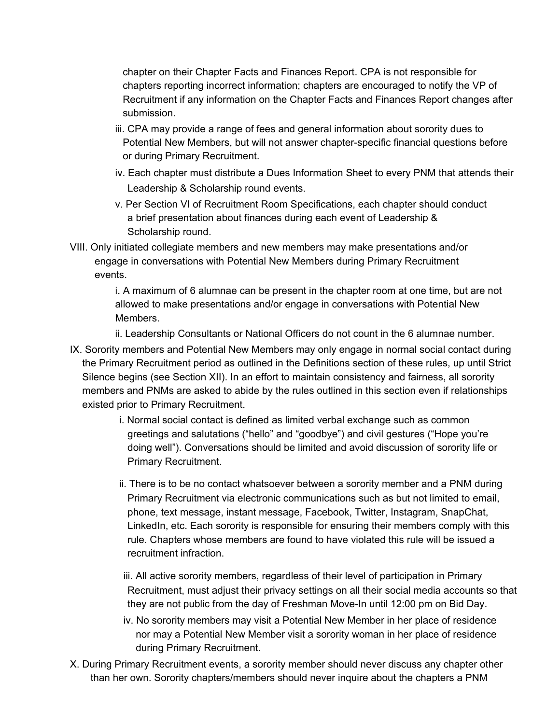chapter on their Chapter Facts and Finances Report. CPA is not responsible for chapters reporting incorrect information; chapters are encouraged to notify the VP of Recruitment if any information on the Chapter Facts and Finances Report changes after submission.

- iii. CPA may provide a range of fees and general information about sorority dues to Potential New Members, but will not answer chapter-specific financial questions before or during Primary Recruitment.
- iv. Each chapter must distribute a Dues Information Sheet to every PNM that attends their Leadership & Scholarship round events.
- v. Per Section VI of Recruitment Room Specifications, each chapter should conduct a brief presentation about finances during each event of Leadership & Scholarship round.
- VIII. Only initiated collegiate members and new members may make presentations and/or engage in conversations with Potential New Members during Primary Recruitment events.

i. A maximum of 6 alumnae can be present in the chapter room at one time, but are not allowed to make presentations and/or engage in conversations with Potential New Members.

- ii. Leadership Consultants or National Officers do not count in the 6 alumnae number.
- IX. Sorority members and Potential New Members may only engage in normal social contact during the Primary Recruitment period as outlined in the Definitions section of these rules, up until Strict Silence begins (see Section XII). In an effort to maintain consistency and fairness, all sorority members and PNMs are asked to abide by the rules outlined in this section even if relationships existed prior to Primary Recruitment.
	- i. Normal social contact is defined as limited verbal exchange such as common greetings and salutations ("hello" and "goodbye") and civil gestures ("Hope you're doing well"). Conversations should be limited and avoid discussion of sorority life or Primary Recruitment.
	- ii. There is to be no contact whatsoever between a sorority member and a PNM during Primary Recruitment via electronic communications such as but not limited to email, phone, text message, instant message, Facebook, Twitter, Instagram, SnapChat, LinkedIn, etc. Each sorority is responsible for ensuring their members comply with this rule. Chapters whose members are found to have violated this rule will be issued a recruitment infraction.
	- iii. All active sorority members, regardless of their level of participation in Primary Recruitment, must adjust their privacy settings on all their social media accounts so that they are not public from the day of Freshman Move-In until 12:00 pm on Bid Day.
	- iv. No sorority members may visit a Potential New Member in her place of residence nor may a Potential New Member visit a sorority woman in her place of residence during Primary Recruitment.
- X. During Primary Recruitment events, a sorority member should never discuss any chapter other than her own. Sorority chapters/members should never inquire about the chapters a PNM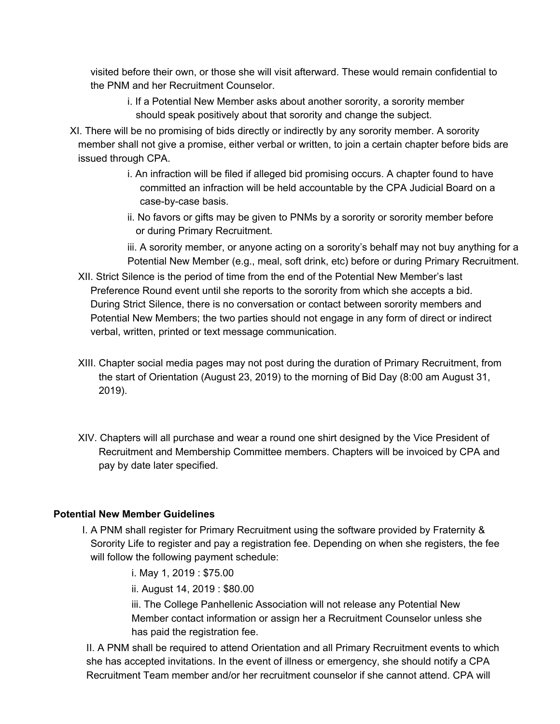visited before their own, or those she will visit afterward. These would remain confidential to the PNM and her Recruitment Counselor.

- i. If a Potential New Member asks about another sorority, a sorority member should speak positively about that sorority and change the subject.
- XI. There will be no promising of bids directly or indirectly by any sorority member. A sorority member shall not give a promise, either verbal or written, to join a certain chapter before bids are issued through CPA.
	- i. An infraction will be filed if alleged bid promising occurs. A chapter found to have committed an infraction will be held accountable by the CPA Judicial Board on a case-by-case basis.
	- ii. No favors or gifts may be given to PNMs by a sorority or sorority member before or during Primary Recruitment.

iii. A sorority member, or anyone acting on a sorority's behalf may not buy anything for a Potential New Member (e.g., meal, soft drink, etc) before or during Primary Recruitment.

- XII. Strict Silence is the period of time from the end of the Potential New Member's last Preference Round event until she reports to the sorority from which she accepts a bid. During Strict Silence, there is no conversation or contact between sorority members and Potential New Members; the two parties should not engage in any form of direct or indirect verbal, written, printed or text message communication.
- XIII. Chapter social media pages may not post during the duration of Primary Recruitment, from the start of Orientation (August 23, 2019) to the morning of Bid Day (8:00 am August 31, 2019).
- XIV. Chapters will all purchase and wear a round one shirt designed by the Vice President of Recruitment and Membership Committee members. Chapters will be invoiced by CPA and pay by date later specified.

## **Potential New Member Guidelines**

I. A PNM shall register for Primary Recruitment using the software provided by Fraternity & Sorority Life to register and pay a registration fee. Depending on when she registers, the fee will follow the following payment schedule:

i. May 1, 2019 : \$75.00

ii. August 14, 2019 : \$80.00

iii. The College Panhellenic Association will not release any Potential New Member contact information or assign her a Recruitment Counselor unless she has paid the registration fee.

II. A PNM shall be required to attend Orientation and all Primary Recruitment events to which she has accepted invitations. In the event of illness or emergency, she should notify a CPA Recruitment Team member and/or her recruitment counselor if she cannot attend. CPA will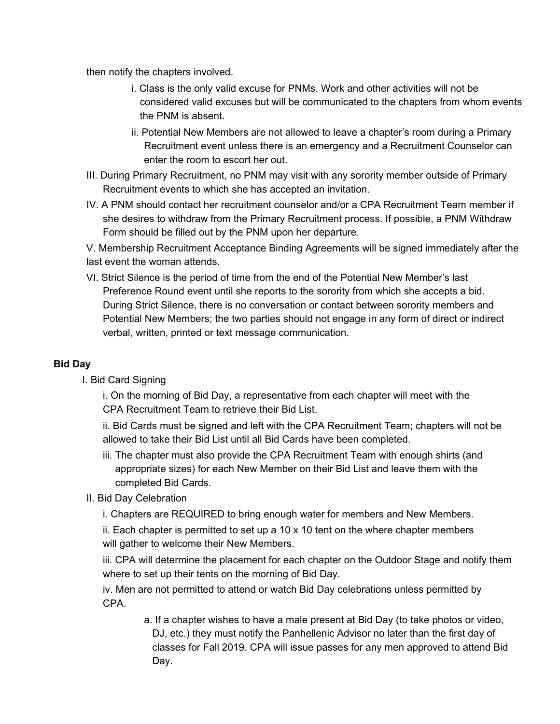then notify the chapters involved.

- i. Class is the only valid excuse for PNMs. Work and other activities will not be considered valid excuses but will be communicated to the chapters from whom events the PNM is absent.
- ii. Potential New Members are not allowed to leave a chapter's room during a Primary Recruitment event unless there is an emergency and a Recruitment Counselor can enter the room to escort her out.
- III. During Primary Recruitment, no PNM may visit with any sorority member outside of Primary Recruitment events to which she has accepted an invitation.
- IV. A PNM should contact her recruitment counselor and/or a CPA Recruitment Team member if she desires to withdraw from the Primary Recruitment process. If possible, a PNM Withdraw Form should be filled out by the PNM upon her departure.

V. Membership Recruitment Acceptance Binding Agreements will be signed immediately after the last event the woman attends.

VI. Strict Silence is the period of time from the end of the Potential New Member's last Preference Round event until she reports to the sorority from which she accepts a bid. During Strict Silence, there is no conversation or contact between sorority members and Potential New Members; the two parties should not engage in any form of direct or indirect verbal, written, printed or text message communication.

## **Bid Day**

I. Bid Card Signing

i. On the morning of Bid Day, a representative from each chapter will meet with the CPA Recruitment Team to retrieve their Bid List.

ii. Bid Cards must be signed and left with the CPA Recruitment Team; chapters will not be allowed to take their Bid List until all Bid Cards have been completed.

iii. The chapter must also provide the CPA Recruitment Team with enough shirts (and appropriate sizes) for each New Member on their Bid List and leave them with the completed Bid Cards.

## II. Bid Day Celebration

i. Chapters are REQUIRED to bring enough water for members and New Members.

ii. Each chapter is permitted to set up a  $10 \times 10$  tent on the where chapter members will gather to welcome their New Members.

iii. CPA will determine the placement for each chapter on the Outdoor Stage and notify them where to set up their tents on the morning of Bid Day.

iv. Men are not permitted to attend or watch Bid Day celebrations unless permitted by CPA.

> a. If a chapter wishes to have a male present at Bid Day (to take photos or video, DJ, etc.) they must notify the Panhellenic Advisor no later than the first day of classes for Fall 2019. CPA will issue passes for any men approved to attend Bid Day.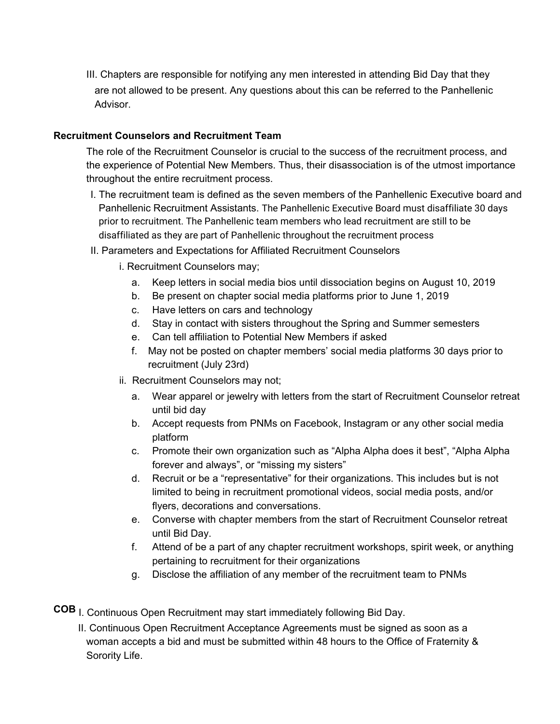III. Chapters are responsible for notifying any men interested in attending Bid Day that they are not allowed to be present. Any questions about this can be referred to the Panhellenic Advisor.

#### **Recruitment Counselors and Recruitment Team**

The role of the Recruitment Counselor is crucial to the success of the recruitment process, and the experience of Potential New Members. Thus, their disassociation is of the utmost importance throughout the entire recruitment process.

- I. The recruitment team is defined as the seven members of the Panhellenic Executive board and Panhellenic Recruitment Assistants. The Panhellenic Executive Board must disaffiliate 30 days prior to recruitment. The Panhellenic team members who lead recruitment are still to be disaffiliated as they are part of Panhellenic throughout the recruitment process
- II. Parameters and Expectations for Affiliated Recruitment Counselors
	- i. Recruitment Counselors may;
		- a. Keep letters in social media bios until dissociation begins on August 10, 2019
		- b. Be present on chapter social media platforms prior to June 1, 2019
		- c. Have letters on cars and technology
		- d. Stay in contact with sisters throughout the Spring and Summer semesters
		- e. Can tell affiliation to Potential New Members if asked
		- f. May not be posted on chapter members' social media platforms 30 days prior to recruitment (July 23rd)
	- ii. Recruitment Counselors may not;
		- a. Wear apparel or jewelry with letters from the start of Recruitment Counselor retreat until bid day
		- b. Accept requests from PNMs on Facebook, Instagram or any other social media platform
		- c. Promote their own organization such as "Alpha Alpha does it best", "Alpha Alpha forever and always", or "missing my sisters"
		- d. Recruit or be a "representative" for their organizations. This includes but is not limited to being in recruitment promotional videos, social media posts, and/or flyers, decorations and conversations.
		- e. Converse with chapter members from the start of Recruitment Counselor retreat until Bid Day.
		- f. Attend of be a part of any chapter recruitment workshops, spirit week, or anything pertaining to recruitment for their organizations
		- g. Disclose the affiliation of any member of the recruitment team to PNMs
- **COB** I. Continuous Open Recruitment may start immediately following Bid Day.
	- II. Continuous Open Recruitment Acceptance Agreements must be signed as soon as a woman accepts a bid and must be submitted within 48 hours to the Office of Fraternity & Sorority Life.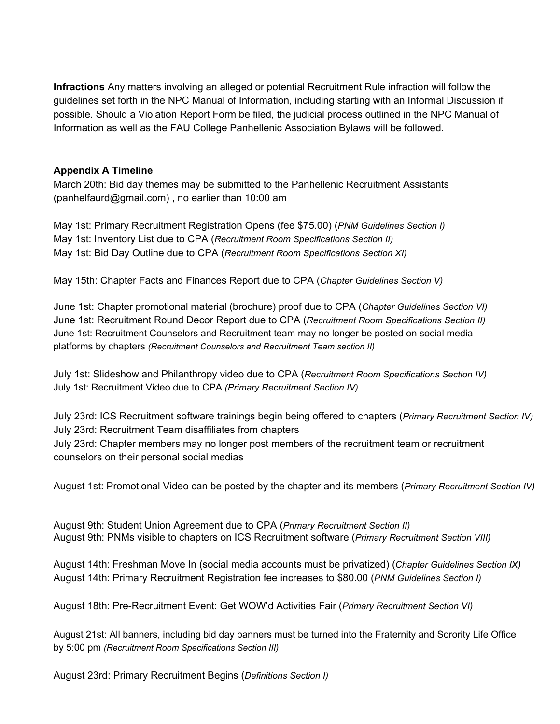**Infractions** Any matters involving an alleged or potential Recruitment Rule infraction will follow the guidelines set forth in the NPC Manual of Information, including starting with an Informal Discussion if possible. Should a Violation Report Form be filed, the judicial process outlined in the NPC Manual of Information as well as the FAU College Panhellenic Association Bylaws will be followed.

#### **Appendix A Timeline**

March 20th: Bid day themes may be submitted to the Panhellenic Recruitment Assistants (panhelfaurd@gmail.com) , no earlier than 10:00 am

May 1st: Primary Recruitment Registration Opens (fee \$75.00) (*PNM Guidelines Section I)* May 1st: Inventory List due to CPA (*Recruitment Room Specifications Section II)* May 1st: Bid Day Outline due to CPA (*Recruitment Room Specifications Section XI)*

May 15th: Chapter Facts and Finances Report due to CPA (*Chapter Guidelines Section V)*

June 1st: Chapter promotional material (brochure) proof due to CPA (*Chapter Guidelines Section VI)* June 1st: Recruitment Round Decor Report due to CPA (*Recruitment Room Specifications Section II)* June 1st: Recruitment Counselors and Recruitment team may no longer be posted on social media platforms by chapters *(Recruitment Counselors and Recruitment Team section II)*

July 1st: Slideshow and Philanthropy video due to CPA (*Recruitment Room Specifications Section IV)* July 1st: Recruitment Video due to CPA *(Primary Recruitment Section IV)*

July 23rd: ICS Recruitment software trainings begin being offered to chapters (*Primary Recruitment Section IV)* July 23rd: Recruitment Team disaffiliates from chapters July 23rd: Chapter members may no longer post members of the recruitment team or recruitment counselors on their personal social medias

August 1st: Promotional Video can be posted by the chapter and its members (*Primary Recruitment Section IV)*

August 9th: Student Union Agreement due to CPA (*Primary Recruitment Section II)* August 9th: PNMs visible to chapters on ICS Recruitment software (*Primary Recruitment Section VIII)*

August 14th: Freshman Move In (social media accounts must be privatized) (*Chapter Guidelines Section IX)* August 14th: Primary Recruitment Registration fee increases to \$80.00 (*PNM Guidelines Section I)*

August 18th: Pre-Recruitment Event: Get WOW'd Activities Fair (*Primary Recruitment Section VI)*

August 21st: All banners, including bid day banners must be turned into the Fraternity and Sorority Life Office by 5:00 pm *(Recruitment Room Specifications Section III)*

August 23rd: Primary Recruitment Begins (*Definitions Section I)*